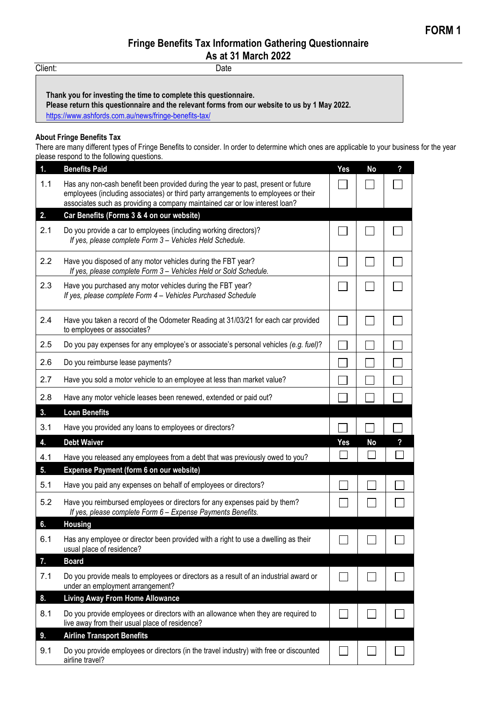## **Fringe Benefits Tax Information Gathering Questionnaire**

**As at 31 March 2022**

Client: Date

**Thank you for investing the time to complete this questionnaire.**

**Please return this questionnaire and the relevant forms from our website to us by 1 May 2022.**

<https://www.ashfords.com.au/news/fringe-benefits-tax/>

## **About Fringe Benefits Tax**

There are many different types of Fringe Benefits to consider. In order to determine which ones are applicable to your business for the year please respond to the following questions.

| 1.  | <b>Benefits Paid</b>                                                                                                                                                                                                                                   | <b>Yes</b> | <b>No</b> | ? |
|-----|--------------------------------------------------------------------------------------------------------------------------------------------------------------------------------------------------------------------------------------------------------|------------|-----------|---|
| 1.1 | Has any non-cash benefit been provided during the year to past, present or future<br>employees (including associates) or third party arrangements to employees or their<br>associates such as providing a company maintained car or low interest loan? |            |           |   |
| 2.  | Car Benefits (Forms 3 & 4 on our website)                                                                                                                                                                                                              |            |           |   |
| 2.1 | Do you provide a car to employees (including working directors)?<br>If yes, please complete Form 3 - Vehicles Held Schedule.                                                                                                                           |            |           |   |
| 2.2 | Have you disposed of any motor vehicles during the FBT year?<br>If yes, please complete Form 3 - Vehicles Held or Sold Schedule.                                                                                                                       |            |           |   |
| 2.3 | Have you purchased any motor vehicles during the FBT year?<br>If yes, please complete Form 4 - Vehicles Purchased Schedule                                                                                                                             |            |           |   |
| 2.4 | Have you taken a record of the Odometer Reading at 31/03/21 for each car provided<br>to employees or associates?                                                                                                                                       |            |           |   |
| 2.5 | Do you pay expenses for any employee's or associate's personal vehicles (e.g. fuel)?                                                                                                                                                                   |            |           |   |
| 2.6 | Do you reimburse lease payments?                                                                                                                                                                                                                       |            |           |   |
| 2.7 | Have you sold a motor vehicle to an employee at less than market value?                                                                                                                                                                                |            |           |   |
| 2.8 | Have any motor vehicle leases been renewed, extended or paid out?                                                                                                                                                                                      |            |           |   |
| 3.  | <b>Loan Benefits</b>                                                                                                                                                                                                                                   |            |           |   |
|     |                                                                                                                                                                                                                                                        |            |           |   |
| 3.1 | Have you provided any loans to employees or directors?                                                                                                                                                                                                 |            |           |   |
| 4.  | <b>Debt Waiver</b>                                                                                                                                                                                                                                     | Yes        | <b>No</b> |   |
| 4.1 | Have you released any employees from a debt that was previously owed to you?                                                                                                                                                                           |            |           |   |
| 5.  | Expense Payment (form 6 on our website)                                                                                                                                                                                                                |            |           |   |
| 5.1 | Have you paid any expenses on behalf of employees or directors?                                                                                                                                                                                        |            |           |   |
| 5.2 | Have you reimbursed employees or directors for any expenses paid by them?<br>If yes, please complete Form 6 - Expense Payments Benefits.                                                                                                               |            |           |   |
| 6.  | <b>Housing</b>                                                                                                                                                                                                                                         |            |           |   |
| 6.1 | Has any employee or director been provided with a right to use a dwelling as their<br>usual place of residence?                                                                                                                                        |            |           |   |
| 7.  | <b>Board</b>                                                                                                                                                                                                                                           |            |           |   |
| 7.1 | Do you provide meals to employees or directors as a result of an industrial award or<br>under an employment arrangement?                                                                                                                               |            |           |   |
| 8.  | <b>Living Away From Home Allowance</b>                                                                                                                                                                                                                 |            |           |   |
| 8.1 | Do you provide employees or directors with an allowance when they are required to<br>live away from their usual place of residence?                                                                                                                    |            |           |   |
| 9.  | <b>Airline Transport Benefits</b>                                                                                                                                                                                                                      |            |           |   |